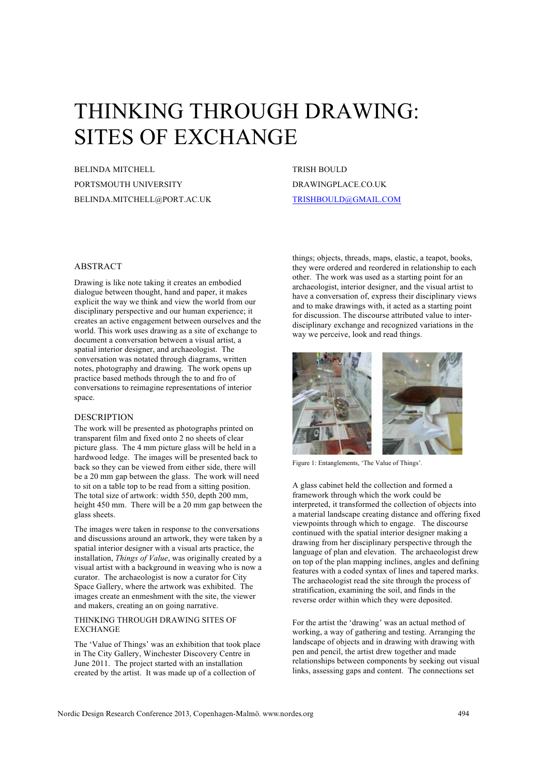# THINKING THROUGH DRAWING: SITES OF EXCHANGE

BELINDA MITCHELL PORTSMOUTH UNIVERSITY BELINDA.MITCHELL@PORT.AC.UK TRISH BOULD DRAWINGPLACE.CO.UK TRISHBOULD@GMAIL.COM

## ABSTRACT

Drawing is like note taking it creates an embodied dialogue between thought, hand and paper, it makes explicit the way we think and view the world from our disciplinary perspective and our human experience; it creates an active engagement between ourselves and the world. This work uses drawing as a site of exchange to document a conversation between a visual artist, a spatial interior designer, and archaeologist. The conversation was notated through diagrams, written notes, photography and drawing. The work opens up practice based methods through the to and fro of conversations to reimagine representations of interior space.

### DESCRIPTION

The work will be presented as photographs printed on transparent film and fixed onto 2 no sheets of clear picture glass. The 4 mm picture glass will be held in a hardwood ledge. The images will be presented back to back so they can be viewed from either side, there will be a 20 mm gap between the glass. The work will need to sit on a table top to be read from a sitting position. The total size of artwork: width 550, depth 200 mm, height 450 mm. There will be a 20 mm gap between the glass sheets.

The images were taken in response to the conversations and discussions around an artwork, they were taken by a spatial interior designer with a visual arts practice, the installation, *Things of Value*, was originally created by a visual artist with a background in weaving who is now a curator. The archaeologist is now a curator for City Space Gallery, where the artwork was exhibited. The images create an enmeshment with the site, the viewer and makers, creating an on going narrative.

#### THINKING THROUGH DRAWING SITES OF **EXCHANGE**

The 'Value of Things' was an exhibition that took place in The City Gallery, Winchester Discovery Centre in June 2011. The project started with an installation created by the artist. It was made up of a collection of

things; objects, threads, maps, elastic, a teapot, books, they were ordered and reordered in relationship to each other. The work was used as a starting point for an archaeologist, interior designer, and the visual artist to have a conversation of, express their disciplinary views and to make drawings with, it acted as a starting point for discussion. The discourse attributed value to interdisciplinary exchange and recognized variations in the way we perceive, look and read things.



Figure 1: Entanglements, 'The Value of Things'.

A glass cabinet held the collection and formed a framework through which the work could be interpreted, it transformed the collection of objects into a material landscape creating distance and offering fixed viewpoints through which to engage. The discourse continued with the spatial interior designer making a drawing from her disciplinary perspective through the language of plan and elevation. The archaeologist drew on top of the plan mapping inclines, angles and defining features with a coded syntax of lines and tapered marks. The archaeologist read the site through the process of stratification, examining the soil, and finds in the reverse order within which they were deposited.

For the artist the 'drawing' was an actual method of working, a way of gathering and testing. Arranging the landscape of objects and in drawing with drawing with pen and pencil, the artist drew together and made relationships between components by seeking out visual links, assessing gaps and content. The connections set